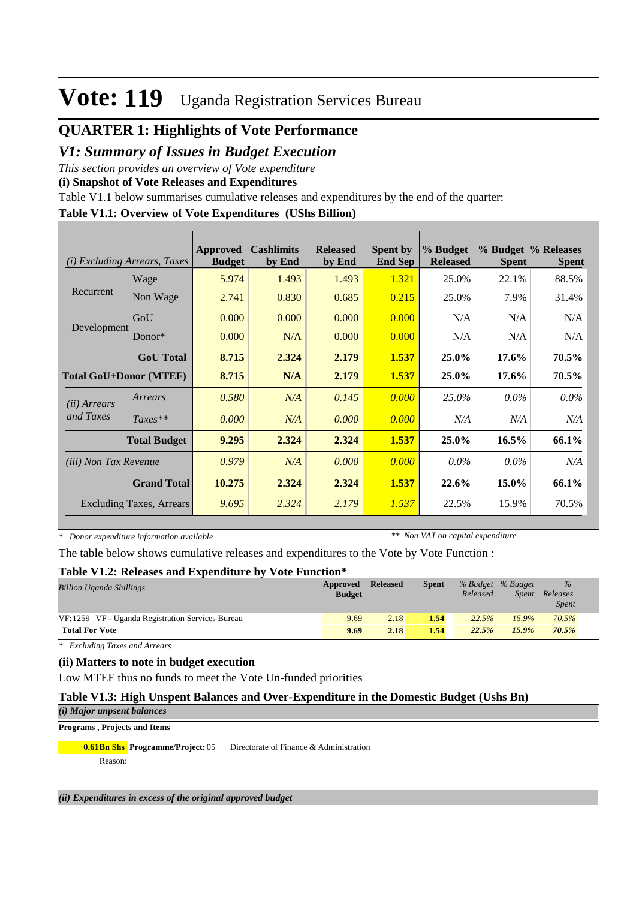# **Vote: 119** Uganda Registration Services Bureau

# **QUARTER 1: Highlights of Vote Performance**

## *V1: Summary of Issues in Budget Execution*

*This section provides an overview of Vote expenditure* 

**(i) Snapshot of Vote Releases and Expenditures**

Table V1.1 below summarises cumulative releases and expenditures by the end of the quarter:

### **Table V1.1: Overview of Vote Expenditures (UShs Billion)**

| (i)                           | <b>Excluding Arrears, Taxes</b> | Approved<br><b>Budget</b> | <b>Cashlimits</b><br>by End | <b>Released</b><br>by End | <b>Spent by</b><br><b>End Sep</b> | % Budget<br><b>Released</b> | <b>Spent</b> | % Budget % Releases<br><b>Spent</b> |
|-------------------------------|---------------------------------|---------------------------|-----------------------------|---------------------------|-----------------------------------|-----------------------------|--------------|-------------------------------------|
|                               | Wage                            | 5.974                     | 1.493                       | 1.493                     | 1.321                             | 25.0%                       | 22.1%        | 88.5%                               |
| Recurrent                     | Non Wage                        | 2.741                     | 0.830                       | 0.685                     | 0.215                             | 25.0%                       | 7.9%         | 31.4%                               |
|                               | GoU                             | 0.000                     | 0.000                       | 0.000                     | 0.000                             | N/A                         | N/A          | N/A                                 |
| Development                   | Donor $*$                       | 0.000                     | N/A                         | 0.000                     | 0.000                             | N/A                         | N/A          | N/A                                 |
|                               | <b>GoU</b> Total                | 8.715                     | 2.324                       | 2.179                     | 1.537                             | 25.0%                       | 17.6%        | 70.5%                               |
| <b>Total GoU+Donor (MTEF)</b> |                                 | 8.715                     | N/A                         | 2.179                     | 1.537                             | 25.0%                       | 17.6%        | 70.5%                               |
| ( <i>ii</i> ) Arrears         | Arrears                         | 0.580                     | N/A                         | 0.145                     | 0.000                             | 25.0%                       | $0.0\%$      | $0.0\%$                             |
| and Taxes                     | $Taxes**$                       | 0.000                     | N/A                         | 0.000                     | 0.000                             | N/A                         | N/A          | N/A                                 |
|                               | <b>Total Budget</b>             | 9.295                     | 2.324                       | 2.324                     | 1.537                             | 25.0%                       | $16.5\%$     | 66.1%                               |
| <i>(iii)</i> Non Tax Revenue  |                                 | 0.979                     | N/A                         | 0.000                     | 0.000                             | $0.0\%$                     | $0.0\%$      | N/A                                 |
|                               | <b>Grand Total</b>              | 10.275                    | 2.324                       | 2.324                     | 1.537                             | 22.6%                       | 15.0%        | 66.1%                               |
|                               | <b>Excluding Taxes, Arrears</b> | 9.695                     | 2.324                       | 2.179                     | 1.537                             | 22.5%                       | 15.9%        | 70.5%                               |

*\* Donor expenditure information available*

*\*\* Non VAT on capital expenditure*

The table below shows cumulative releases and expenditures to the Vote by Vote Function :

### **Table V1.2: Releases and Expenditure by Vote Function\***

| <b>Billion Uganda Shillings</b>                  | Approved<br><b>Budget</b> | <b>Released</b> | <b>Spent</b> | Released | % Budget % Budget | $\frac{0}{6}$<br>Spent Releases<br><b>Spent</b> |  |
|--------------------------------------------------|---------------------------|-----------------|--------------|----------|-------------------|-------------------------------------------------|--|
| VF:1259 VF - Uganda Registration Services Bureau | 9.69                      | 2.18            | 1.54         | 22.5%    | 15.9%             | 70.5%                                           |  |
| <b>Total For Vote</b>                            | 9.69                      | 2.18            | 1.54         | 22.5%    | $15.9\%$          | 70.5%                                           |  |

*\* Excluding Taxes and Arrears*

### **(ii) Matters to note in budget execution**

Low MTEF thus no funds to meet the Vote Un-funded priorities

### **Table V1.3: High Unspent Balances and Over-Expenditure in the Domestic Budget (Ushs Bn)**

*(i) Major unpsent balances*

#### **Programs , Projects and Items**

**0.61Bn Shs Programme/Project:** 05 Directorate of Finance & Administration

Reason:

*(ii) Expenditures in excess of the original approved budget*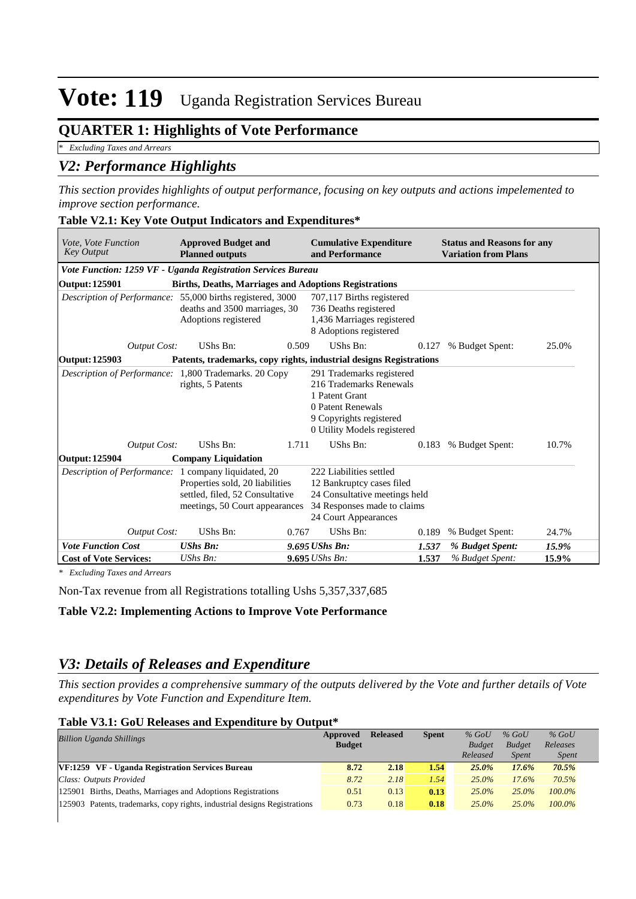# **Vote: 119** Uganda Registration Services Bureau

# **QUARTER 1: Highlights of Vote Performance**

*\* Excluding Taxes and Arrears*

## *V2: Performance Highlights*

*This section provides highlights of output performance, focusing on key outputs and actions impelemented to improve section performance.*

|  |  | Table V2.1: Key Vote Output Indicators and Expenditures* |  |
|--|--|----------------------------------------------------------|--|
|--|--|----------------------------------------------------------|--|

| <i>Vote. Vote Function</i><br><b>Key Output</b>                                                                                                              | <b>Approved Budget and</b><br><b>Planned outputs</b>         |                                                                                                                                              | <b>Cumulative Expenditure</b><br>and Performance                                                                                                      |       | <b>Status and Reasons for any</b><br><b>Variation from Plans</b> |       |  |
|--------------------------------------------------------------------------------------------------------------------------------------------------------------|--------------------------------------------------------------|----------------------------------------------------------------------------------------------------------------------------------------------|-------------------------------------------------------------------------------------------------------------------------------------------------------|-------|------------------------------------------------------------------|-------|--|
| Vote Function: 1259 VF - Uganda Registration Services Bureau                                                                                                 |                                                              |                                                                                                                                              |                                                                                                                                                       |       |                                                                  |       |  |
| <b>Output: 125901</b>                                                                                                                                        | <b>Births, Deaths, Marriages and Adoptions Registrations</b> |                                                                                                                                              |                                                                                                                                                       |       |                                                                  |       |  |
| Description of Performance: 55,000 births registered, 3000                                                                                                   | deaths and 3500 marriages, 30<br>Adoptions registered        |                                                                                                                                              | 707,117 Births registered<br>736 Deaths registered<br>1,436 Marriages registered<br>8 Adoptions registered                                            |       |                                                                  |       |  |
| <b>Output Cost:</b>                                                                                                                                          | UShs Bn:                                                     | 0.509                                                                                                                                        | UShs Bn:                                                                                                                                              | 0.127 | % Budget Spent:                                                  | 25.0% |  |
| Patents, trademarks, copy rights, industrial designs Registrations<br>Output: 125903                                                                         |                                                              |                                                                                                                                              |                                                                                                                                                       |       |                                                                  |       |  |
| Description of Performance: 1,800 Trademarks. 20 Copy                                                                                                        | rights, 5 Patents                                            |                                                                                                                                              | 291 Trademarks registered<br>216 Trademarks Renewals<br>1 Patent Grant<br>0 Patent Renewals<br>9 Copyrights registered<br>0 Utility Models registered |       |                                                                  |       |  |
| <b>Output Cost:</b>                                                                                                                                          | UShs Bn:                                                     | 1.711                                                                                                                                        | UShs Bn:                                                                                                                                              | 0.183 | % Budget Spent:                                                  | 10.7% |  |
| <b>Output: 125904</b>                                                                                                                                        | <b>Company Liquidation</b>                                   |                                                                                                                                              |                                                                                                                                                       |       |                                                                  |       |  |
| Description of Performance: 1 company liquidated, 20<br>Properties sold, 20 liabilities<br>settled, filed, 52 Consultative<br>meetings, 50 Court appearances |                                                              | 222 Liabilities settled<br>12 Bankruptcy cases filed<br>24 Consultative meetings held<br>34 Responses made to claims<br>24 Court Appearances |                                                                                                                                                       |       |                                                                  |       |  |
| <b>Output Cost:</b>                                                                                                                                          | UShs Bn:                                                     | 0.767                                                                                                                                        | UShs Bn:                                                                                                                                              | 0.189 | % Budget Spent:                                                  | 24.7% |  |
| <b>Vote Function Cost</b>                                                                                                                                    | <b>UShs Bn:</b>                                              |                                                                                                                                              | 9.695 UShs Bn:                                                                                                                                        | 1.537 | % Budget Spent:                                                  | 15.9% |  |
| <b>Cost of Vote Services:</b>                                                                                                                                | UShs Bn:                                                     |                                                                                                                                              | 9.695 UShs Bn:                                                                                                                                        | 1.537 | % Budget Spent:                                                  | 15.9% |  |

*\* Excluding Taxes and Arrears*

Non-Tax revenue from all Registrations totalling Ushs 5,357,337,685

### **Table V2.2: Implementing Actions to Improve Vote Performance**

## *V3: Details of Releases and Expenditure*

*This section provides a comprehensive summary of the outputs delivered by the Vote and further details of Vote expenditures by Vote Function and Expenditure Item.*

#### **Table V3.1: GoU Releases and Expenditure by Output\***

| <b>Billion Uganda Shillings</b>                                           | Approved      | <b>Released</b> | <b>Spent</b> | $%$ GoU       | $%$ GoU       | $%$ GoU      |  |
|---------------------------------------------------------------------------|---------------|-----------------|--------------|---------------|---------------|--------------|--|
|                                                                           | <b>Budget</b> |                 |              | <b>Budget</b> | <b>Budget</b> | Releases     |  |
|                                                                           |               |                 |              | Released      | <b>Spent</b>  | <i>Spent</i> |  |
| VF:1259 VF - Uganda Registration Services Bureau                          | 8.72          | 2.18            | 1.54         | 25.0%         | 17.6%         | 70.5%        |  |
| Class: Outputs Provided                                                   | 8.72          | 2.18            | 1.54         | $25.0\%$      | 17.6%         | 70.5%        |  |
| 125901 Births, Deaths, Marriages and Adoptions Registrations              | 0.51          | 0.13            | 0.13         | $25.0\%$      | $25.0\%$      | $100.0\%$    |  |
| 125903 Patents, trademarks, copy rights, industrial designs Registrations | 0.73          | 0.18            | 0.18         | $25.0\%$      | $25.0\%$      | $100.0\%$    |  |